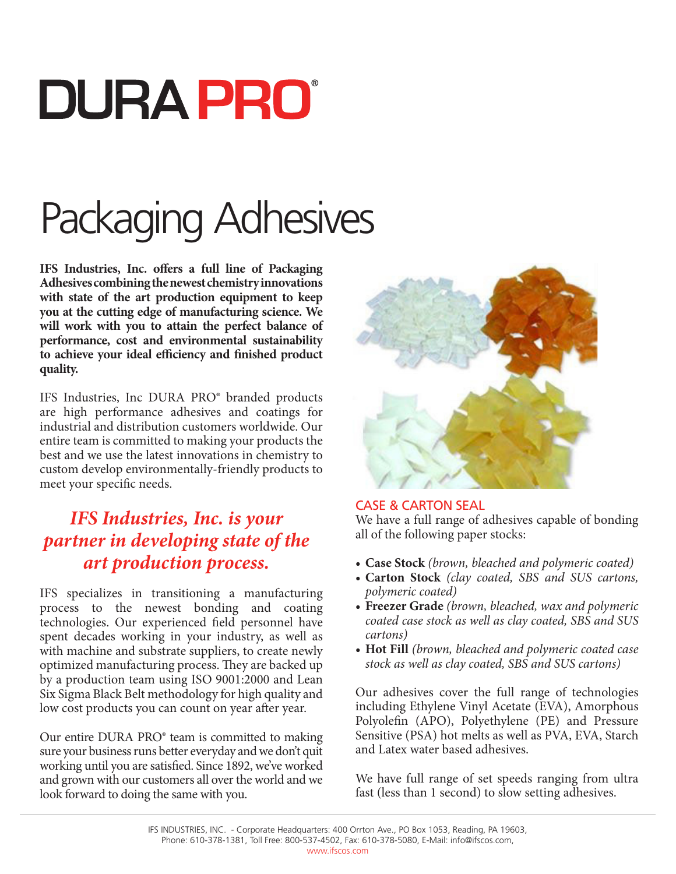# **DURA PRO**

## Packaging Adhesives

**IFS Industries, Inc. offers a full line of Packaging Adhesives combining the newest chemistry innovations with state of the art production equipment to keep you at the cutting edge of manufacturing science. We will work with you to attain the perfect balance of performance, cost and environmental sustainability to achieve your ideal efficiency and finished product quality.** 

IFS Industries, Inc DURA PRO® branded products are high performance adhesives and coatings for industrial and distribution customers worldwide. Our entire team is committed to making your products the best and we use the latest innovations in chemistry to custom develop environmentally-friendly products to meet your specific needs.

#### *IFS Industries, Inc. is your partner in developing state of the art production process.*

IFS specializes in transitioning a manufacturing process to the newest bonding and coating technologies. Our experienced field personnel have spent decades working in your industry, as well as with machine and substrate suppliers, to create newly optimized manufacturing process. They are backed up by a production team using ISO 9001:2000 and Lean Six Sigma Black Belt methodology for high quality and low cost products you can count on year after year.

Our entire DURA PRO® team is committed to making sure your business runs better everyday and we don't quit working until you are satisfied. Since 1892, we've worked and grown with our customers all over the world and we look forward to doing the same with you.



#### Case & Carton Seal

We have a full range of adhesives capable of bonding all of the following paper stocks:

- **• Case Stock** *(brown, bleached and polymeric coated)*
- **• Carton Stock** *(clay coated, SBS and SUS cartons, polymeric coated)*
- **• Freezer Grade** *(brown, bleached, wax and polymeric coated case stock as well as clay coated, SBS and SUS cartons)*
- **• Hot Fill** *(brown, bleached and polymeric coated case stock as well as clay coated, SBS and SUS cartons)*

Our adhesives cover the full range of technologies including Ethylene Vinyl Acetate (EVA), Amorphous Polyolefin (APO), Polyethylene (PE) and Pressure Sensitive (PSA) hot melts as well as PVA, EVA, Starch and Latex water based adhesives.

We have full range of set speeds ranging from ultra fast (less than 1 second) to slow setting adhesives.